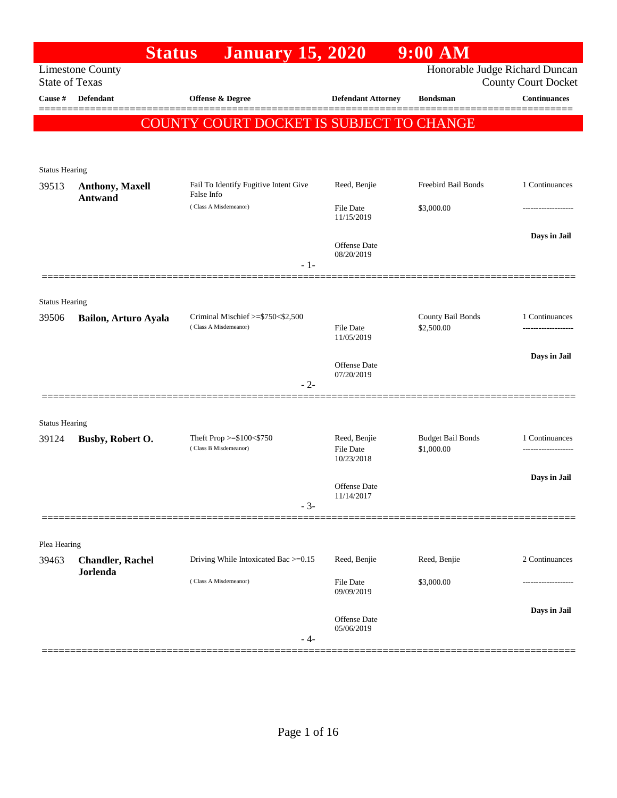|                                | <b>Status</b>                            | <b>January 15, 2020</b>                             |                                   | $9:00$ AM                      |                            |
|--------------------------------|------------------------------------------|-----------------------------------------------------|-----------------------------------|--------------------------------|----------------------------|
| <b>State of Texas</b>          | <b>Limestone County</b>                  |                                                     |                                   | Honorable Judge Richard Duncan | <b>County Court Docket</b> |
| Cause #                        | <b>Defendant</b>                         | <b>Offense &amp; Degree</b>                         | <b>Defendant Attorney</b>         | <b>Bondsman</b>                | <b>Continuances</b>        |
|                                |                                          |                                                     |                                   |                                |                            |
|                                |                                          | COUNTY COURT DOCKET IS SUBJECT TO CHANGE            |                                   |                                |                            |
|                                |                                          |                                                     |                                   |                                |                            |
| <b>Status Hearing</b>          |                                          |                                                     |                                   |                                |                            |
| 39513                          | <b>Anthony, Maxell</b><br><b>Antwand</b> | Fail To Identify Fugitive Intent Give<br>False Info | Reed, Benjie                      | Freebird Bail Bonds            | 1 Continuances             |
|                                |                                          | (Class A Misdemeanor)                               | <b>File Date</b><br>11/15/2019    | \$3,000.00                     |                            |
|                                |                                          |                                                     | Offense Date                      |                                | Days in Jail               |
|                                |                                          | $-1-$                                               | 08/20/2019                        |                                |                            |
|                                |                                          |                                                     |                                   |                                |                            |
| <b>Status Hearing</b><br>39506 | Bailon, Arturo Ayala                     | Criminal Mischief >=\$750<\$2,500                   |                                   | County Bail Bonds              | 1 Continuances             |
|                                |                                          | (Class A Misdemeanor)                               | <b>File Date</b><br>11/05/2019    | \$2,500.00                     | ------------------         |
|                                |                                          |                                                     |                                   |                                | Days in Jail               |
|                                |                                          | $-2-$                                               | <b>Offense Date</b><br>07/20/2019 |                                |                            |
|                                |                                          |                                                     |                                   |                                |                            |
| <b>Status Hearing</b>          |                                          |                                                     |                                   |                                |                            |
| 39124                          | Busby, Robert O.                         | Theft Prop >=\$100<\$750                            | Reed, Benjie                      | <b>Budget Bail Bonds</b>       | 1 Continuances             |
|                                |                                          | (Class B Misdemeanor)                               | <b>File Date</b><br>10/23/2018    | \$1,000.00                     |                            |
|                                |                                          |                                                     |                                   |                                | Days in Jail               |
|                                |                                          |                                                     | Offense Date<br>11/14/2017        |                                |                            |
|                                |                                          | $-3-$                                               |                                   |                                |                            |
| Plea Hearing                   |                                          |                                                     |                                   |                                |                            |
| 39463                          | <b>Chandler, Rachel</b>                  | Driving While Intoxicated Bac >=0.15                | Reed, Benjie                      | Reed, Benjie                   | 2 Continuances             |
|                                | <b>Jorlenda</b>                          | (Class A Misdemeanor)                               | File Date<br>09/09/2019           | \$3,000.00                     |                            |
|                                |                                          |                                                     |                                   |                                | Days in Jail               |
|                                |                                          | - 4-                                                | Offense Date<br>05/06/2019        |                                |                            |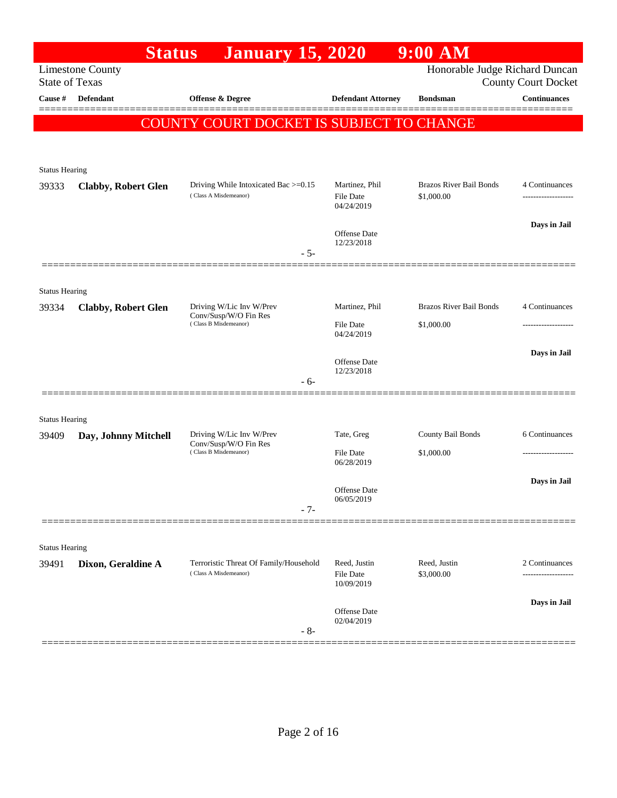|                       | <b>Status</b>              | <b>January 15, 2020</b>                                                    |                                   | $9:00$ AM                       |                            |
|-----------------------|----------------------------|----------------------------------------------------------------------------|-----------------------------------|---------------------------------|----------------------------|
| <b>State of Texas</b> | <b>Limestone County</b>    |                                                                            |                                   | Honorable Judge Richard Duncan  | <b>County Court Docket</b> |
| Cause #               | <b>Defendant</b>           | Offense & Degree                                                           | <b>Defendant Attorney</b>         | <b>Bondsman</b>                 | <b>Continuances</b>        |
|                       |                            | <b>COUNTY COURT DOCKET IS SUBJECT TO CHANGE</b>                            |                                   |                                 |                            |
|                       |                            |                                                                            |                                   |                                 |                            |
| <b>Status Hearing</b> |                            |                                                                            |                                   |                                 |                            |
| 39333                 | <b>Clabby, Robert Glen</b> | Driving While Intoxicated Bac >=0.15                                       | Martinez, Phil                    | <b>Brazos River Bail Bonds</b>  | 4 Continuances             |
|                       |                            | (Class A Misdemeanor)                                                      | <b>File Date</b><br>04/24/2019    | \$1,000.00                      |                            |
|                       |                            |                                                                            |                                   |                                 | Days in Jail               |
|                       |                            |                                                                            | <b>Offense Date</b><br>12/23/2018 |                                 |                            |
|                       |                            | $-5-$                                                                      |                                   |                                 |                            |
| <b>Status Hearing</b> |                            |                                                                            |                                   |                                 |                            |
| 39334                 | <b>Clabby, Robert Glen</b> | Driving W/Lic Inv W/Prev                                                   | Martinez, Phil                    | <b>Brazos River Bail Bonds</b>  | 4 Continuances             |
|                       |                            | Conv/Susp/W/O Fin Res<br>(Class B Misdemeanor)                             | <b>File Date</b>                  | \$1,000.00                      | ------------------         |
|                       |                            |                                                                            | 04/24/2019                        |                                 |                            |
|                       |                            |                                                                            | <b>Offense Date</b><br>12/23/2018 |                                 | Days in Jail               |
|                       |                            | $-6-$                                                                      |                                   |                                 |                            |
|                       |                            |                                                                            |                                   |                                 |                            |
| <b>Status Hearing</b> |                            |                                                                            |                                   |                                 |                            |
| 39409                 | Day, Johnny Mitchell       | Driving W/Lic Inv W/Prev<br>Conv/Susp/W/O Fin Res<br>(Class B Misdemeanor) | Tate, Greg<br><b>File Date</b>    | County Bail Bonds<br>\$1,000.00 | 6 Continuances             |
|                       |                            |                                                                            | 06/28/2019                        |                                 |                            |
|                       |                            |                                                                            | <b>Offense Date</b>               |                                 | Days in Jail               |
|                       |                            | $-7-$                                                                      | 06/05/2019                        |                                 |                            |
|                       |                            |                                                                            |                                   |                                 |                            |
| <b>Status Hearing</b> |                            |                                                                            |                                   |                                 |                            |
| 39491                 | Dixon, Geraldine A         | Terroristic Threat Of Family/Household                                     | Reed, Justin                      | Reed, Justin                    | 2 Continuances             |
|                       |                            | (Class A Misdemeanor)                                                      | <b>File Date</b><br>10/09/2019    | \$3,000.00                      | ----------------           |
|                       |                            |                                                                            | Offense Date                      |                                 | Days in Jail               |
|                       |                            | $-8-$                                                                      | 02/04/2019                        |                                 |                            |
|                       |                            |                                                                            |                                   |                                 |                            |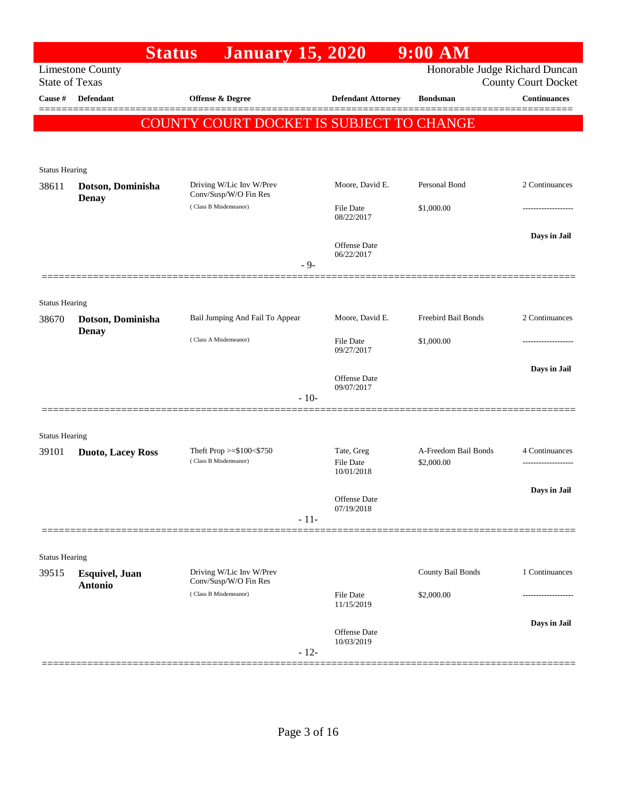|                                | <b>Status</b>                            | <b>January 15, 2020</b>                           |        |                                   | $9:00$ AM                          |                                                              |
|--------------------------------|------------------------------------------|---------------------------------------------------|--------|-----------------------------------|------------------------------------|--------------------------------------------------------------|
| <b>State of Texas</b>          | <b>Limestone County</b>                  |                                                   |        |                                   |                                    | Honorable Judge Richard Duncan<br><b>County Court Docket</b> |
| Cause #                        | <b>Defendant</b>                         | Offense & Degree                                  |        | <b>Defendant Attorney</b>         | <b>Bondsman</b>                    | <b>Continuances</b>                                          |
|                                |                                          | COUNTY COURT DOCKET IS SUBJECT TO CHANGE          |        |                                   |                                    |                                                              |
|                                |                                          |                                                   |        |                                   |                                    |                                                              |
|                                |                                          |                                                   |        |                                   |                                    |                                                              |
| <b>Status Hearing</b><br>38611 | Dotson, Dominisha                        | Driving W/Lic Inv W/Prev                          |        | Moore, David E.                   | Personal Bond                      | 2 Continuances                                               |
|                                | <b>Denay</b>                             | Conv/Susp/W/O Fin Res<br>(Class B Misdemeanor)    |        | File Date                         | \$1,000.00                         |                                                              |
|                                |                                          |                                                   |        | 08/22/2017                        |                                    |                                                              |
|                                |                                          |                                                   |        | Offense Date                      |                                    | Days in Jail                                                 |
|                                |                                          |                                                   | $-9-$  | 06/22/2017                        |                                    |                                                              |
|                                |                                          |                                                   |        |                                   |                                    |                                                              |
| <b>Status Hearing</b>          |                                          |                                                   |        |                                   |                                    |                                                              |
| 38670                          | Dotson, Dominisha                        | Bail Jumping And Fail To Appear                   |        | Moore, David E.                   | Freebird Bail Bonds                | 2 Continuances                                               |
|                                | <b>Denay</b>                             | (Class A Misdemeanor)                             |        | File Date                         | \$1,000.00                         |                                                              |
|                                |                                          |                                                   |        | 09/27/2017                        |                                    |                                                              |
|                                |                                          |                                                   |        | <b>Offense</b> Date<br>09/07/2017 |                                    | Days in Jail                                                 |
|                                |                                          |                                                   | $-10-$ |                                   |                                    |                                                              |
|                                |                                          |                                                   |        |                                   |                                    |                                                              |
| <b>Status Hearing</b>          |                                          |                                                   |        |                                   |                                    |                                                              |
| 39101                          | <b>Duoto, Lacey Ross</b>                 | Theft Prop >=\$100<\$750<br>(Class B Misdemeanor) |        | Tate, Greg<br><b>File Date</b>    | A-Freedom Bail Bonds<br>\$2,000.00 | 4 Continuances                                               |
|                                |                                          |                                                   |        | 10/01/2018                        |                                    |                                                              |
|                                |                                          |                                                   |        | Offense Date                      |                                    | Days in Jail                                                 |
|                                |                                          |                                                   | $-11-$ | 07/19/2018                        |                                    |                                                              |
|                                |                                          |                                                   |        |                                   |                                    |                                                              |
| <b>Status Hearing</b>          |                                          |                                                   |        |                                   |                                    |                                                              |
| 39515                          | <b>Esquivel</b> , Juan<br><b>Antonio</b> | Driving W/Lic Inv W/Prev<br>Conv/Susp/W/O Fin Res |        |                                   | County Bail Bonds                  | 1 Continuances                                               |
|                                |                                          | (Class B Misdemeanor)                             |        | <b>File Date</b><br>11/15/2019    | \$2,000.00                         | ----------------                                             |
|                                |                                          |                                                   |        |                                   |                                    | Days in Jail                                                 |
|                                |                                          |                                                   |        | Offense Date<br>10/03/2019        |                                    |                                                              |
|                                |                                          |                                                   | $-12-$ |                                   |                                    |                                                              |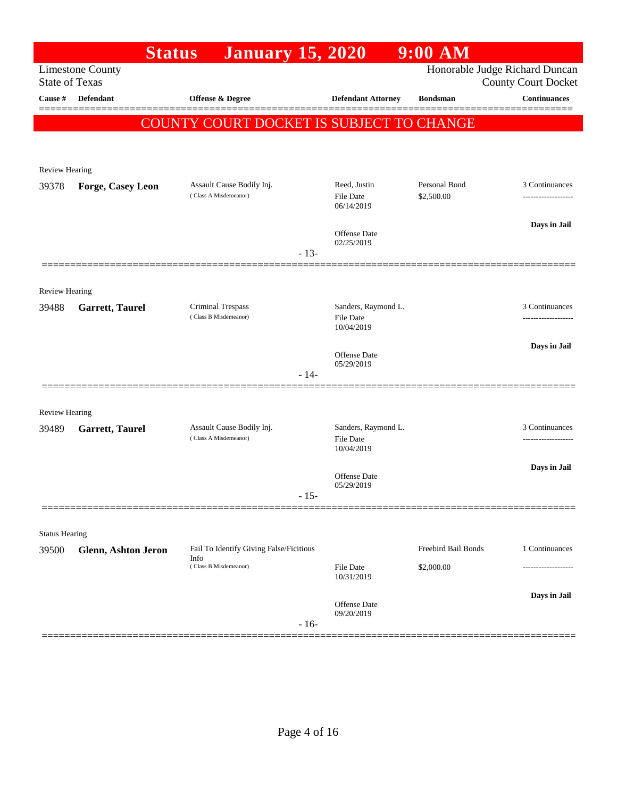|                         | <b>Status</b>           | <b>January</b> 15, 2020                            |        |                                   | $9:00$ AM           |                                                              |
|-------------------------|-------------------------|----------------------------------------------------|--------|-----------------------------------|---------------------|--------------------------------------------------------------|
| <b>State of Texas</b>   | <b>Limestone County</b> |                                                    |        |                                   |                     | Honorable Judge Richard Duncan<br><b>County Court Docket</b> |
| <b>Cause</b> #          | <b>Defendant</b>        | Offense & Degree                                   |        | <b>Defendant Attorney</b>         | <b>Bondsman</b>     | Continuances                                                 |
|                         |                         | <b>COUNTY COURT DOCKET IS SUBJECT TO CHANGE</b>    |        |                                   |                     |                                                              |
|                         |                         |                                                    |        |                                   |                     |                                                              |
| Review Hearing          |                         |                                                    |        |                                   |                     |                                                              |
| 39378                   | Forge, Casey Leon       | Assault Cause Bodily Inj.<br>(Class A Misdemeanor) |        | Reed, Justin                      | Personal Bond       | 3 Continuances                                               |
|                         |                         |                                                    |        | <b>File Date</b><br>06/14/2019    | \$2,500.00          |                                                              |
|                         |                         |                                                    |        | <b>Offense Date</b>               |                     | Days in Jail                                                 |
|                         |                         |                                                    | $-13-$ | 02/25/2019                        |                     |                                                              |
|                         |                         |                                                    |        |                                   |                     |                                                              |
| <b>Review Hearing</b>   |                         |                                                    |        |                                   |                     |                                                              |
| 39488                   | <b>Garrett, Taurel</b>  | Criminal Trespass<br>(Class B Misdemeanor)         |        | Sanders, Raymond L.<br>File Date  |                     | 3 Continuances                                               |
|                         |                         |                                                    |        | 10/04/2019                        |                     |                                                              |
|                         |                         |                                                    |        | <b>Offense Date</b><br>05/29/2019 |                     | Days in Jail                                                 |
|                         |                         |                                                    | $-14-$ |                                   |                     |                                                              |
|                         |                         |                                                    |        |                                   |                     |                                                              |
| Review Hearing<br>39489 | <b>Garrett, Taurel</b>  | Assault Cause Bodily Inj.                          |        | Sanders, Raymond L.               |                     | 3 Continuances                                               |
|                         |                         | (Class A Misdemeanor)                              |        | <b>File Date</b><br>10/04/2019    |                     | .                                                            |
|                         |                         |                                                    |        |                                   |                     | Days in Jail                                                 |
|                         |                         |                                                    | $-15-$ | Offense Date<br>05/29/2019        |                     |                                                              |
|                         |                         |                                                    |        |                                   |                     |                                                              |
| <b>Status Hearing</b>   |                         |                                                    |        |                                   |                     |                                                              |
| 39500                   | Glenn, Ashton Jeron     | Fail To Identify Giving False/Ficitious<br>Info    |        |                                   | Freebird Bail Bonds | 1 Continuances                                               |
|                         |                         | (Class B Misdemeanor)                              |        | File Date<br>10/31/2019           | \$2,000.00          |                                                              |
|                         |                         |                                                    |        |                                   |                     | Days in Jail                                                 |
|                         |                         |                                                    |        | Offense Date<br>09/20/2019        |                     |                                                              |
|                         |                         |                                                    | $-16-$ |                                   |                     |                                                              |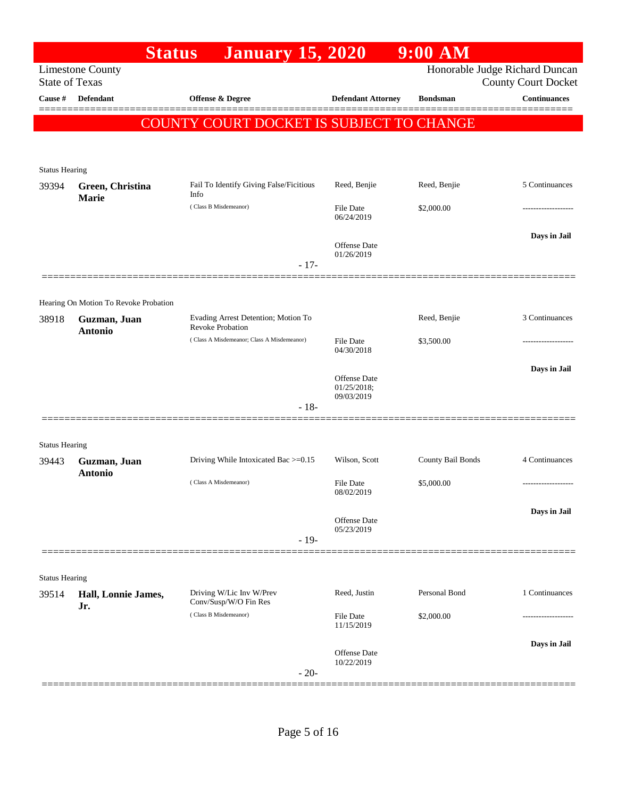|                       | <b>Status</b>                         | <b>January 15, 2020</b>                                        |                                   | $9:00$ AM         |                                |
|-----------------------|---------------------------------------|----------------------------------------------------------------|-----------------------------------|-------------------|--------------------------------|
|                       | <b>Limestone County</b>               |                                                                |                                   |                   | Honorable Judge Richard Duncan |
| <b>State of Texas</b> |                                       |                                                                |                                   |                   | <b>County Court Docket</b>     |
| Cause #               | Defendant                             | Offense & Degree                                               | <b>Defendant Attorney</b>         | <b>Bondsman</b>   | <b>Continuances</b>            |
|                       |                                       | COUNTY COURT DOCKET IS SUBJECT TO CHANGE                       |                                   |                   |                                |
|                       |                                       |                                                                |                                   |                   |                                |
| <b>Status Hearing</b> |                                       |                                                                |                                   |                   |                                |
| 39394                 | Green, Christina                      | Fail To Identify Giving False/Ficitious                        | Reed, Benjie                      | Reed, Benjie      | 5 Continuances                 |
|                       | Marie                                 | Info                                                           |                                   |                   |                                |
|                       |                                       | (Class B Misdemeanor)                                          | File Date<br>06/24/2019           | \$2,000.00        |                                |
|                       |                                       |                                                                |                                   |                   | Days in Jail                   |
|                       |                                       |                                                                | <b>Offense Date</b><br>01/26/2019 |                   |                                |
|                       |                                       | $-17-$                                                         |                                   |                   |                                |
|                       |                                       |                                                                |                                   |                   |                                |
|                       | Hearing On Motion To Revoke Probation |                                                                |                                   |                   |                                |
| 38918                 | Guzman, Juan<br><b>Antonio</b>        | Evading Arrest Detention; Motion To<br><b>Revoke Probation</b> |                                   | Reed, Benjie      | 3 Continuances                 |
|                       |                                       | (Class A Misdemeanor; Class A Misdemeanor)                     | File Date                         | \$3,500.00        |                                |
|                       |                                       |                                                                | 04/30/2018                        |                   |                                |
|                       |                                       |                                                                | Offense Date                      |                   | Days in Jail                   |
|                       |                                       |                                                                | 01/25/2018;<br>09/03/2019         |                   |                                |
|                       |                                       | $-18-$                                                         |                                   |                   |                                |
|                       |                                       |                                                                |                                   |                   |                                |
| <b>Status Hearing</b> |                                       |                                                                |                                   |                   |                                |
| 39443                 | Guzman, Juan<br><b>Antonio</b>        | Driving While Intoxicated Bac >=0.15                           | Wilson, Scott                     | County Bail Bonds | 4 Continuances                 |
|                       |                                       | (Class A Misdemeanor)                                          | File Date<br>08/02/2019           | \$5,000.00        | -------------------            |
|                       |                                       |                                                                |                                   |                   | Days in Jail                   |
|                       |                                       |                                                                | Offense Date<br>05/23/2019        |                   |                                |
|                       |                                       | $-19-$                                                         |                                   |                   |                                |
|                       |                                       |                                                                |                                   |                   |                                |
| <b>Status Hearing</b> |                                       |                                                                |                                   |                   |                                |
| 39514                 | Hall, Lonnie James,                   | Driving W/Lic Inv W/Prev<br>Conv/Susp/W/O Fin Res              | Reed, Justin                      | Personal Bond     | 1 Continuances                 |
|                       | Jr.                                   | (Class B Misdemeanor)                                          | File Date                         | \$2,000.00        |                                |
|                       |                                       |                                                                | 11/15/2019                        |                   |                                |
|                       |                                       |                                                                | Offense Date                      |                   | Days in Jail                   |
|                       |                                       | $-20-$                                                         | 10/22/2019                        |                   |                                |
|                       |                                       |                                                                |                                   |                   |                                |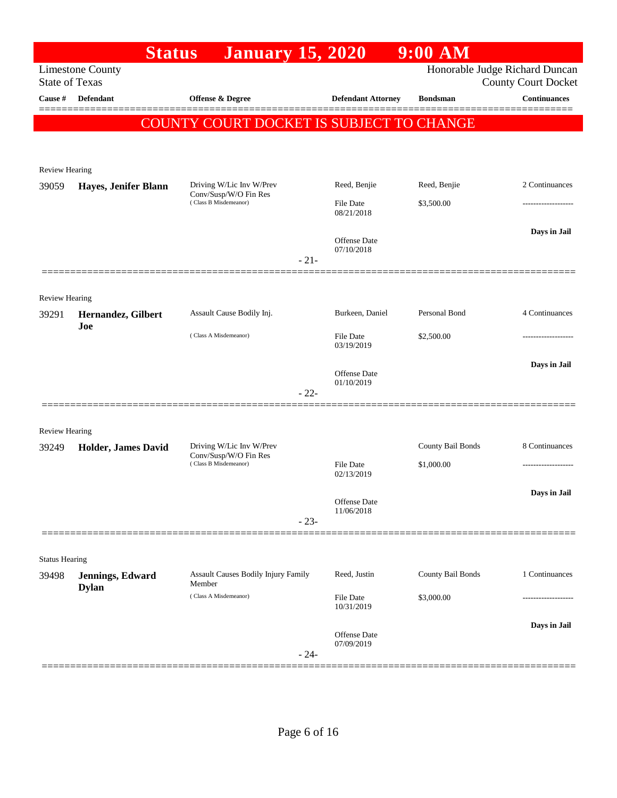|                                | <b>Status</b>                    | <b>January 15, 2020</b>                              |                                | $9:00$ AM         |                                                              |
|--------------------------------|----------------------------------|------------------------------------------------------|--------------------------------|-------------------|--------------------------------------------------------------|
| <b>State of Texas</b>          | <b>Limestone County</b>          |                                                      |                                |                   | Honorable Judge Richard Duncan<br><b>County Court Docket</b> |
| Cause #                        | <b>Defendant</b>                 | <b>Offense &amp; Degree</b>                          | <b>Defendant Attorney</b>      | <b>Bondsman</b>   | <b>Continuances</b>                                          |
|                                |                                  | COUNTY COURT DOCKET IS SUBJECT TO CHANGE             |                                |                   |                                                              |
|                                |                                  |                                                      |                                |                   |                                                              |
|                                |                                  |                                                      |                                |                   |                                                              |
| <b>Review Hearing</b><br>39059 | Hayes, Jenifer Blann             | Driving W/Lic Inv W/Prev                             | Reed, Benjie                   | Reed, Benjie      | 2 Continuances                                               |
|                                |                                  | Conv/Susp/W/O Fin Res<br>(Class B Misdemeanor)       | <b>File Date</b>               | \$3,500.00        |                                                              |
|                                |                                  |                                                      | 08/21/2018                     |                   |                                                              |
|                                |                                  |                                                      | Offense Date                   |                   | Days in Jail                                                 |
|                                |                                  | $-21-$                                               | 07/10/2018                     |                   |                                                              |
|                                |                                  |                                                      |                                |                   |                                                              |
| Review Hearing                 |                                  |                                                      |                                |                   |                                                              |
| 39291                          | Hernandez, Gilbert               | Assault Cause Bodily Inj.                            | Burkeen, Daniel                | Personal Bond     | 4 Continuances                                               |
|                                | Joe                              | (Class A Misdemeanor)                                | <b>File Date</b>               | \$2,500.00        |                                                              |
|                                |                                  |                                                      | 03/19/2019                     |                   |                                                              |
|                                |                                  |                                                      | Offense Date                   |                   | Days in Jail                                                 |
|                                |                                  | $-22-$                                               | 01/10/2019                     |                   |                                                              |
|                                |                                  |                                                      |                                |                   |                                                              |
| Review Hearing                 |                                  |                                                      |                                |                   |                                                              |
| 39249                          | <b>Holder, James David</b>       | Driving W/Lic Inv W/Prev                             |                                | County Bail Bonds | 8 Continuances                                               |
|                                |                                  | Conv/Susp/W/O Fin Res<br>(Class B Misdemeanor)       | <b>File Date</b>               | \$1,000.00        | .                                                            |
|                                |                                  |                                                      | 02/13/2019                     |                   | Days in Jail                                                 |
|                                |                                  |                                                      | Offense Date<br>11/06/2018     |                   |                                                              |
|                                |                                  | $-23-$                                               |                                |                   |                                                              |
|                                |                                  |                                                      |                                |                   |                                                              |
| <b>Status Hearing</b>          |                                  |                                                      |                                |                   |                                                              |
| 39498                          | Jennings, Edward<br><b>Dylan</b> | <b>Assault Causes Bodily Injury Family</b><br>Member | Reed, Justin                   | County Bail Bonds | 1 Continuances                                               |
|                                |                                  | (Class A Misdemeanor)                                | <b>File Date</b><br>10/31/2019 | \$3,000.00        |                                                              |
|                                |                                  |                                                      |                                |                   | Days in Jail                                                 |
|                                |                                  |                                                      | Offense Date<br>07/09/2019     |                   |                                                              |
|                                |                                  | $-24-$                                               |                                |                   |                                                              |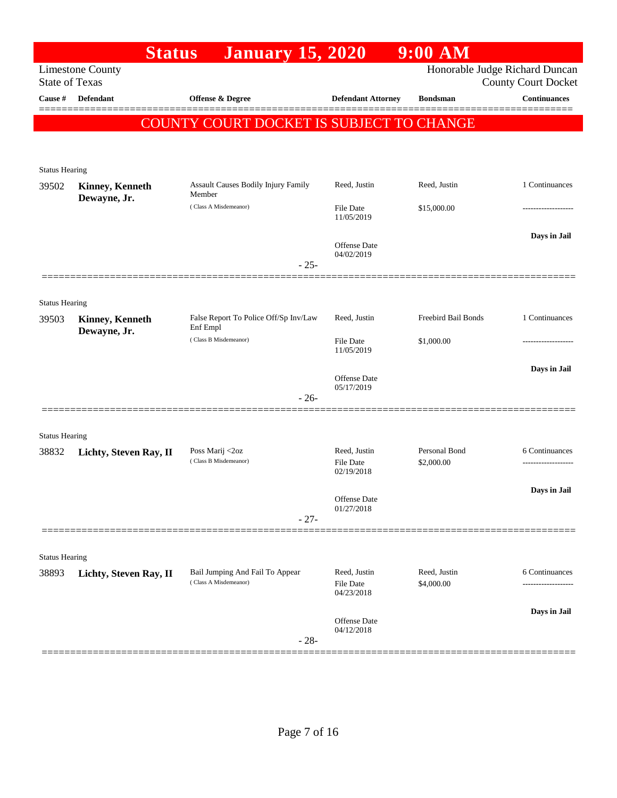|                                | <b>Status</b>                          | <b>January 15, 2020</b>                              |                                   | $9:00$ AM                   |                                                              |
|--------------------------------|----------------------------------------|------------------------------------------------------|-----------------------------------|-----------------------------|--------------------------------------------------------------|
| <b>State of Texas</b>          | <b>Limestone County</b>                |                                                      |                                   |                             | Honorable Judge Richard Duncan<br><b>County Court Docket</b> |
| Cause #                        | <b>Defendant</b>                       | <b>Offense &amp; Degree</b>                          | <b>Defendant Attorney</b>         | <b>Bondsman</b>             | <b>Continuances</b>                                          |
|                                |                                        | COUNTY COURT DOCKET IS SUBJECT TO CHANGE             |                                   |                             |                                                              |
|                                |                                        |                                                      |                                   |                             |                                                              |
|                                |                                        |                                                      |                                   |                             |                                                              |
| <b>Status Hearing</b>          |                                        |                                                      |                                   |                             |                                                              |
| 39502                          | <b>Kinney, Kenneth</b><br>Dewayne, Jr. | <b>Assault Causes Bodily Injury Family</b><br>Member | Reed, Justin                      | Reed, Justin                | 1 Continuances                                               |
|                                |                                        | (Class A Misdemeanor)                                | File Date<br>11/05/2019           | \$15,000.00                 |                                                              |
|                                |                                        |                                                      |                                   |                             | Days in Jail                                                 |
|                                |                                        |                                                      | <b>Offense</b> Date<br>04/02/2019 |                             |                                                              |
|                                |                                        | $-25-$                                               |                                   |                             |                                                              |
|                                |                                        |                                                      |                                   |                             |                                                              |
| <b>Status Hearing</b>          |                                        |                                                      |                                   |                             |                                                              |
| 39503                          | <b>Kinney, Kenneth</b><br>Dewayne, Jr. | False Report To Police Off/Sp Inv/Law<br>Enf Empl    | Reed, Justin                      | Freebird Bail Bonds         | 1 Continuances                                               |
|                                |                                        | (Class B Misdemeanor)                                | File Date                         | \$1,000.00                  |                                                              |
|                                |                                        |                                                      | 11/05/2019                        |                             |                                                              |
|                                |                                        |                                                      | <b>Offense</b> Date<br>05/17/2019 |                             | Days in Jail                                                 |
|                                |                                        | $-26-$                                               |                                   |                             |                                                              |
|                                |                                        |                                                      |                                   |                             |                                                              |
| <b>Status Hearing</b>          |                                        |                                                      |                                   |                             |                                                              |
| 38832                          | Lichty, Steven Ray, II                 | Poss Marij <2oz<br>(Class B Misdemeanor)             | Reed, Justin<br><b>File Date</b>  | Personal Bond<br>\$2,000.00 | 6 Continuances                                               |
|                                |                                        |                                                      | 02/19/2018                        |                             |                                                              |
|                                |                                        |                                                      | Offense Date                      |                             | Days in Jail                                                 |
|                                |                                        |                                                      | 01/27/2018                        |                             |                                                              |
|                                |                                        | $-27-$                                               |                                   |                             |                                                              |
|                                |                                        |                                                      |                                   |                             |                                                              |
| <b>Status Hearing</b><br>38893 |                                        | Bail Jumping And Fail To Appear                      | Reed, Justin                      | Reed, Justin                | 6 Continuances                                               |
|                                | Lichty, Steven Ray, II                 | (Class A Misdemeanor)                                | <b>File Date</b>                  | \$4,000.00                  | .                                                            |
|                                |                                        |                                                      | 04/23/2018                        |                             |                                                              |
|                                |                                        |                                                      | Offense Date                      |                             | Days in Jail                                                 |
|                                |                                        | $-28-$                                               | 04/12/2018                        |                             |                                                              |
|                                |                                        |                                                      |                                   |                             |                                                              |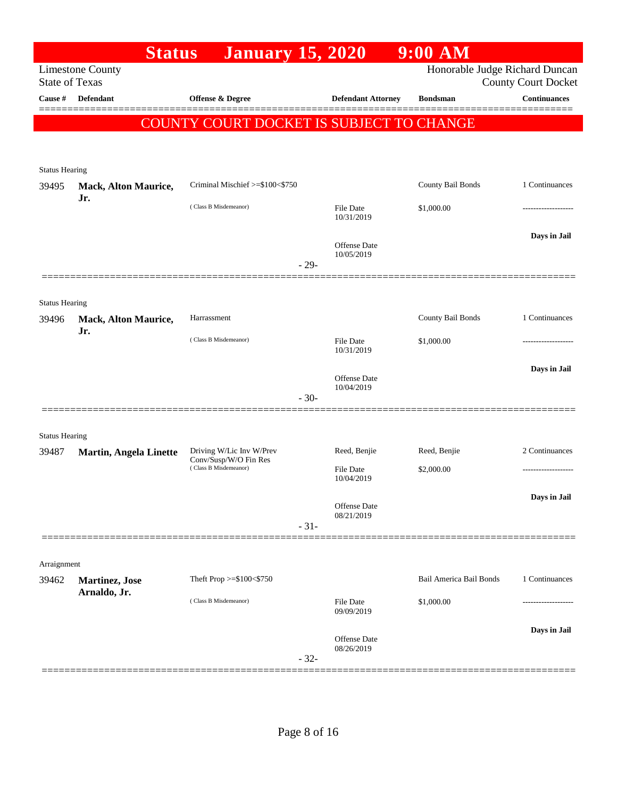|                       | <b>Status</b>                  | <b>January 15, 2020</b>                           |                                   | $9:00$ AM                      |                            |
|-----------------------|--------------------------------|---------------------------------------------------|-----------------------------------|--------------------------------|----------------------------|
| <b>State of Texas</b> | <b>Limestone County</b>        |                                                   |                                   | Honorable Judge Richard Duncan | <b>County Court Docket</b> |
| Cause #               | <b>Defendant</b>               | Offense & Degree                                  | <b>Defendant Attorney</b>         | <b>Bondsman</b>                | <b>Continuances</b>        |
|                       |                                | COUNTY COURT DOCKET IS SUBJECT TO CHANGE          |                                   |                                |                            |
|                       |                                |                                                   |                                   |                                |                            |
|                       |                                |                                                   |                                   |                                |                            |
| <b>Status Hearing</b> |                                |                                                   |                                   |                                |                            |
| 39495                 | Mack, Alton Maurice,<br>Jr.    | Criminal Mischief >=\$100<\$750                   |                                   | County Bail Bonds              | 1 Continuances             |
|                       |                                | (Class B Misdemeanor)                             | <b>File Date</b><br>10/31/2019    | \$1,000.00                     |                            |
|                       |                                |                                                   |                                   |                                | Days in Jail               |
|                       |                                |                                                   | Offense Date<br>10/05/2019        |                                |                            |
|                       |                                |                                                   | $-29-$                            |                                |                            |
|                       |                                |                                                   |                                   |                                |                            |
| <b>Status Hearing</b> |                                |                                                   |                                   |                                |                            |
| 39496                 | Mack, Alton Maurice,<br>Jr.    | Harrassment                                       |                                   | County Bail Bonds              | 1 Continuances             |
|                       |                                | (Class B Misdemeanor)                             | File Date<br>10/31/2019           | \$1,000.00                     |                            |
|                       |                                |                                                   |                                   |                                | Days in Jail               |
|                       |                                |                                                   | <b>Offense</b> Date<br>10/04/2019 |                                |                            |
|                       |                                |                                                   | $-30-$                            |                                |                            |
|                       |                                |                                                   |                                   |                                |                            |
| <b>Status Hearing</b> |                                |                                                   |                                   |                                |                            |
| 39487                 | <b>Martin, Angela Linette</b>  | Driving W/Lic Inv W/Prev<br>Conv/Susp/W/O Fin Res | Reed, Benjie                      | Reed, Benjie                   | 2 Continuances             |
|                       |                                | (Class B Misdemeanor)                             | <b>File Date</b><br>10/04/2019    | \$2,000.00                     |                            |
|                       |                                |                                                   |                                   |                                | Days in Jail               |
|                       |                                |                                                   | Offense Date<br>08/21/2019        |                                |                            |
|                       |                                |                                                   | $-31-$                            |                                |                            |
|                       |                                |                                                   |                                   |                                |                            |
| Arraignment<br>39462  |                                | Theft Prop >=\$100<\$750                          |                                   | Bail America Bail Bonds        | 1 Continuances             |
|                       | Martinez, Jose<br>Arnaldo, Jr. |                                                   |                                   |                                |                            |
|                       |                                | (Class B Misdemeanor)                             | <b>File Date</b><br>09/09/2019    | \$1,000.00                     |                            |
|                       |                                |                                                   |                                   |                                | Days in Jail               |
|                       |                                |                                                   | Offense Date<br>08/26/2019        |                                |                            |
|                       |                                |                                                   | $-32-$                            |                                |                            |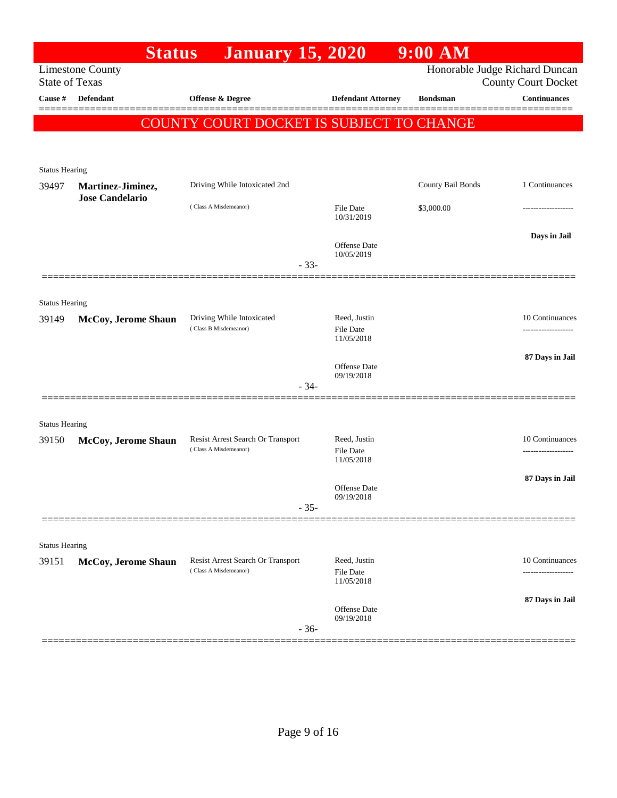|                       | <b>Status</b>                               | <b>January 15, 2020</b>                                    |                                                | $9:00$ AM         |                                                              |
|-----------------------|---------------------------------------------|------------------------------------------------------------|------------------------------------------------|-------------------|--------------------------------------------------------------|
| <b>State of Texas</b> | <b>Limestone County</b>                     |                                                            |                                                |                   | Honorable Judge Richard Duncan<br><b>County Court Docket</b> |
| Cause #               | <b>Defendant</b>                            | Offense & Degree                                           | <b>Defendant Attorney</b>                      | <b>Bondsman</b>   | <b>Continuances</b>                                          |
|                       |                                             | COUNTY COURT DOCKET IS SUBJECT TO CHANGE                   |                                                |                   |                                                              |
|                       |                                             |                                                            |                                                |                   |                                                              |
| <b>Status Hearing</b> |                                             |                                                            |                                                |                   |                                                              |
| 39497                 | Martinez-Jiminez,<br><b>Jose Candelario</b> | Driving While Intoxicated 2nd                              |                                                | County Bail Bonds | 1 Continuances                                               |
|                       |                                             | (Class A Misdemeanor)                                      | <b>File Date</b><br>10/31/2019                 | \$3,000.00        |                                                              |
|                       |                                             |                                                            | Offense Date<br>10/05/2019                     |                   | Days in Jail                                                 |
|                       |                                             | $-33-$                                                     |                                                |                   |                                                              |
| <b>Status Hearing</b> |                                             |                                                            |                                                |                   |                                                              |
| 39149                 | McCoy, Jerome Shaun                         | Driving While Intoxicated<br>(Class B Misdemeanor)         | Reed, Justin<br><b>File Date</b><br>11/05/2018 |                   | 10 Continuances<br>.                                         |
|                       |                                             |                                                            | <b>Offense Date</b>                            |                   | 87 Days in Jail                                              |
|                       |                                             | $-34-$                                                     | 09/19/2018                                     |                   |                                                              |
| <b>Status Hearing</b> |                                             |                                                            |                                                |                   |                                                              |
| 39150                 | McCoy, Jerome Shaun                         | Resist Arrest Search Or Transport<br>(Class A Misdemeanor) | Reed, Justin<br>File Date                      |                   | 10 Continuances                                              |
|                       |                                             |                                                            | 11/05/2018                                     |                   |                                                              |
|                       |                                             |                                                            | <b>Offense Date</b><br>09/19/2018              |                   | 87 Days in Jail                                              |
|                       |                                             | $-35-$                                                     |                                                |                   |                                                              |
| <b>Status Hearing</b> |                                             |                                                            |                                                |                   |                                                              |
| 39151                 | <b>McCoy, Jerome Shaun</b>                  | Resist Arrest Search Or Transport<br>(Class A Misdemeanor) | Reed, Justin                                   |                   | 10 Continuances                                              |
|                       |                                             |                                                            | <b>File Date</b><br>11/05/2018                 |                   |                                                              |
|                       |                                             | $-36-$                                                     | <b>Offense Date</b><br>09/19/2018              |                   | 87 Days in Jail                                              |
|                       |                                             |                                                            |                                                |                   |                                                              |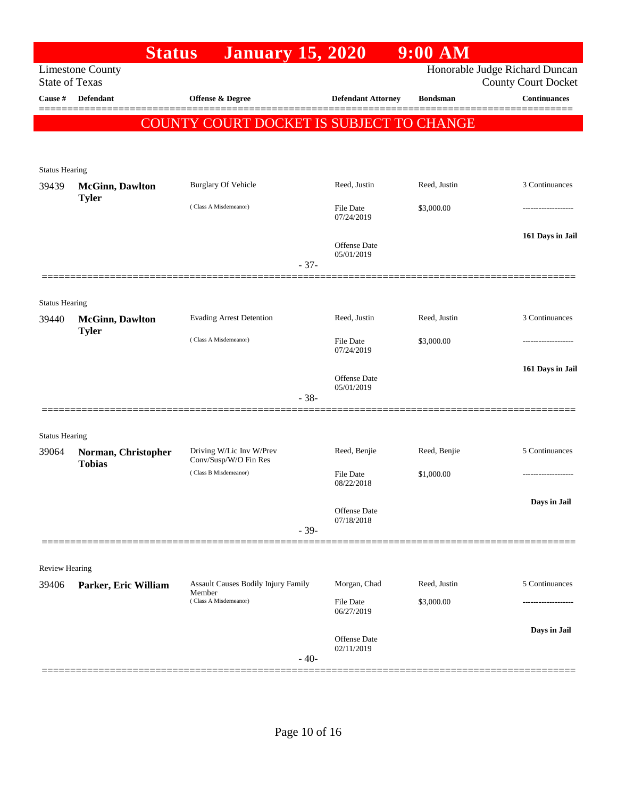|                       | <b>Status</b>                                    | <b>January 15, 2020</b>                         |                                   | $9:00$ AM       |                                                              |
|-----------------------|--------------------------------------------------|-------------------------------------------------|-----------------------------------|-----------------|--------------------------------------------------------------|
|                       | <b>Limestone County</b><br><b>State of Texas</b> |                                                 |                                   |                 | Honorable Judge Richard Duncan<br><b>County Court Docket</b> |
| Cause #               | <b>Defendant</b>                                 | <b>Offense &amp; Degree</b>                     | <b>Defendant Attorney</b>         | <b>Bondsman</b> | <b>Continuances</b>                                          |
|                       |                                                  | <b>COUNTY COURT DOCKET IS SUBJECT TO CHANGE</b> |                                   |                 |                                                              |
|                       |                                                  |                                                 |                                   |                 |                                                              |
|                       |                                                  |                                                 |                                   |                 |                                                              |
| <b>Status Hearing</b> |                                                  |                                                 |                                   |                 |                                                              |
| 39439                 | <b>McGinn, Dawlton</b><br><b>Tyler</b>           | <b>Burglary Of Vehicle</b>                      | Reed, Justin                      | Reed, Justin    | 3 Continuances                                               |
|                       |                                                  | (Class A Misdemeanor)                           | <b>File Date</b><br>07/24/2019    | \$3,000.00      |                                                              |
|                       |                                                  |                                                 |                                   |                 |                                                              |
|                       |                                                  |                                                 | <b>Offense Date</b>               |                 | 161 Days in Jail                                             |
|                       |                                                  | $-37-$                                          | 05/01/2019                        |                 |                                                              |
|                       |                                                  |                                                 |                                   |                 |                                                              |
| <b>Status Hearing</b> |                                                  |                                                 |                                   |                 |                                                              |
| 39440                 | <b>McGinn</b> , Dawlton                          | <b>Evading Arrest Detention</b>                 | Reed, Justin                      | Reed, Justin    | 3 Continuances                                               |
|                       | <b>Tyler</b>                                     | (Class A Misdemeanor)                           | File Date                         | \$3,000.00      |                                                              |
|                       |                                                  |                                                 | 07/24/2019                        |                 |                                                              |
|                       |                                                  |                                                 | <b>Offense Date</b>               |                 | 161 Days in Jail                                             |
|                       |                                                  |                                                 | 05/01/2019                        |                 |                                                              |
|                       |                                                  | $-38-$                                          |                                   |                 |                                                              |
|                       |                                                  |                                                 |                                   |                 |                                                              |
| <b>Status Hearing</b> |                                                  | Driving W/Lic Inv W/Prev                        | Reed, Benjie                      | Reed, Benjie    | 5 Continuances                                               |
| 39064                 | Norman, Christopher<br><b>Tobias</b>             | Conv/Susp/W/O Fin Res                           |                                   |                 |                                                              |
|                       |                                                  | (Class B Misdemeanor)                           | <b>File Date</b><br>08/22/2018    | \$1,000.00      |                                                              |
|                       |                                                  |                                                 |                                   |                 | Days in Jail                                                 |
|                       |                                                  |                                                 | <b>Offense Date</b><br>07/18/2018 |                 |                                                              |
|                       |                                                  | $-39-$                                          |                                   |                 |                                                              |
|                       |                                                  |                                                 |                                   |                 |                                                              |
| <b>Review Hearing</b> |                                                  |                                                 |                                   |                 |                                                              |
| 39406                 | Parker, Eric William                             | Assault Causes Bodily Injury Family             | Morgan, Chad                      | Reed, Justin    | 5 Continuances                                               |
|                       |                                                  | Member<br>(Class A Misdemeanor)                 | <b>File Date</b>                  | \$3,000.00      |                                                              |
|                       |                                                  |                                                 | 06/27/2019                        |                 |                                                              |
|                       |                                                  |                                                 | Offense Date                      |                 | Days in Jail                                                 |
|                       |                                                  | $-40-$                                          | 02/11/2019                        |                 |                                                              |
|                       |                                                  |                                                 |                                   |                 |                                                              |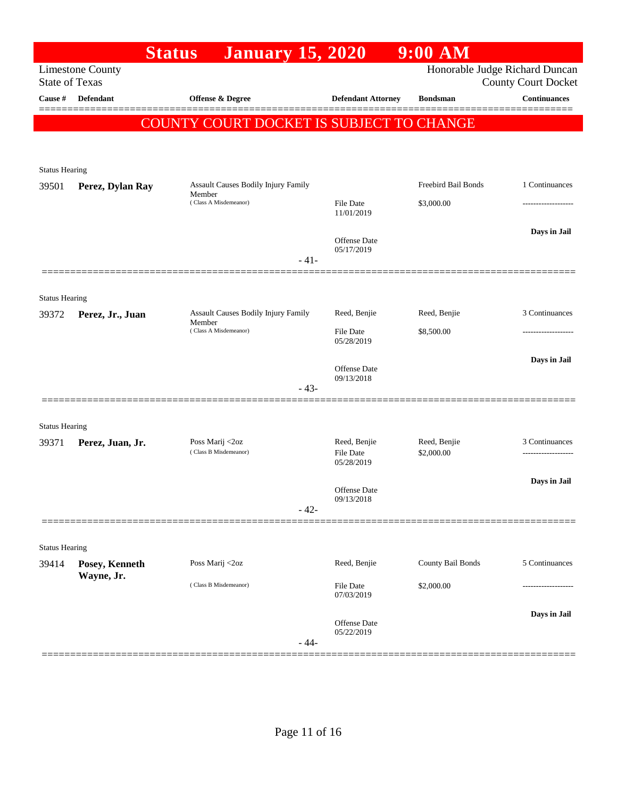|                                | <b>Status</b>           | <b>January 15, 2020</b>                              |                                  | $9:00$ AM                  |                                                              |
|--------------------------------|-------------------------|------------------------------------------------------|----------------------------------|----------------------------|--------------------------------------------------------------|
| <b>State of Texas</b>          | <b>Limestone County</b> |                                                      |                                  |                            | Honorable Judge Richard Duncan<br><b>County Court Docket</b> |
| Cause #                        | Defendant               | <b>Offense &amp; Degree</b>                          | <b>Defendant Attorney</b>        | <b>Bondsman</b>            | <b>Continuances</b>                                          |
|                                |                         | COUNTY COURT DOCKET IS SUBJECT TO CHANGE             |                                  |                            |                                                              |
|                                |                         |                                                      |                                  |                            |                                                              |
| <b>Status Hearing</b>          |                         |                                                      |                                  |                            |                                                              |
| 39501                          | Perez, Dylan Ray        | Assault Causes Bodily Injury Family<br>Member        |                                  | Freebird Bail Bonds        | 1 Continuances                                               |
|                                |                         | (Class A Misdemeanor)                                | <b>File Date</b><br>11/01/2019   | \$3,000.00                 |                                                              |
|                                |                         |                                                      | Offense Date                     |                            | Days in Jail                                                 |
|                                |                         | $-41-$                                               | 05/17/2019                       |                            |                                                              |
|                                |                         |                                                      |                                  |                            |                                                              |
| <b>Status Hearing</b>          |                         |                                                      |                                  |                            |                                                              |
| 39372                          | Perez, Jr., Juan        | <b>Assault Causes Bodily Injury Family</b><br>Member | Reed, Benjie                     | Reed, Benjie               | 3 Continuances                                               |
|                                |                         | (Class A Misdemeanor)                                | <b>File Date</b><br>05/28/2019   | \$8,500.00                 | ----------------                                             |
|                                |                         |                                                      | Offense Date                     |                            | Days in Jail                                                 |
|                                |                         | $-43-$                                               | 09/13/2018                       |                            |                                                              |
|                                |                         |                                                      |                                  |                            |                                                              |
| <b>Status Hearing</b>          |                         |                                                      |                                  |                            |                                                              |
| 39371                          | Perez, Juan, Jr.        | Poss Marij <2oz<br>(Class B Misdemeanor)             | Reed, Benjie<br><b>File Date</b> | Reed, Benjie<br>\$2,000.00 | 3 Continuances<br>                                           |
|                                |                         |                                                      | 05/28/2019                       |                            | Days in Jail                                                 |
|                                |                         |                                                      | Offense Date<br>09/13/2018       |                            |                                                              |
|                                |                         | $-42-$                                               |                                  |                            |                                                              |
|                                |                         |                                                      |                                  |                            |                                                              |
| <b>Status Hearing</b><br>39414 | Posey, Kenneth          | Poss Marij <2oz                                      | Reed, Benjie                     | County Bail Bonds          | 5 Continuances                                               |
|                                | Wayne, Jr.              | (Class B Misdemeanor)                                | File Date                        | \$2,000.00                 |                                                              |
|                                |                         |                                                      | 07/03/2019                       |                            |                                                              |
|                                |                         |                                                      | Offense Date<br>05/22/2019       |                            | Days in Jail                                                 |
|                                |                         | $-44-$                                               |                                  |                            |                                                              |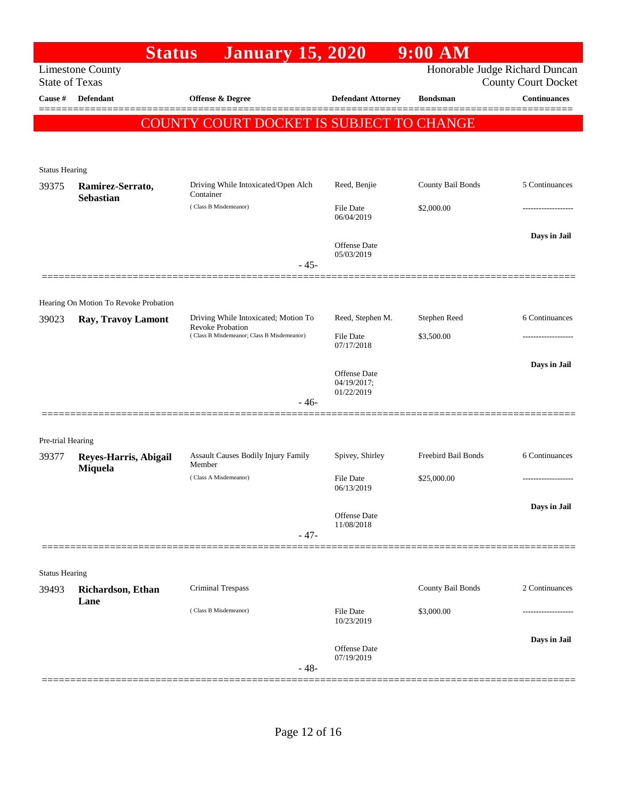| Honorable Judge Richard Duncan<br><b>Limestone County</b><br><b>State of Texas</b><br><b>County Court Docket</b><br><b>Offense &amp; Degree</b><br><b>Continuances</b><br><b>Defendant</b><br><b>Defendant Attorney</b><br><b>Bondsman</b><br>COUNTY COURT DOCKET IS SUBJECT TO CHANGE<br><b>Status Hearing</b><br>Driving While Intoxicated/Open Alch<br>County Bail Bonds<br>5 Continuances<br>Reed, Benjie<br>Ramirez-Serrato,<br>Container<br><b>Sebastian</b><br>(Class B Misdemeanor)<br>\$2,000.00<br>File Date<br>06/04/2019<br>Days in Jail<br>Offense Date<br>05/03/2019<br>$-45-$<br>Hearing On Motion To Revoke Probation<br>Driving While Intoxicated; Motion To<br>Reed, Stephen M.<br>Stephen Reed<br>6 Continuances<br>39023<br>Ray, Travoy Lamont<br><b>Revoke Probation</b><br>(Class B Misdemeanor; Class B Misdemeanor)<br><b>File Date</b><br>\$3,500.00<br>.<br>07/17/2018<br>Days in Jail<br>Offense Date<br>04/19/2017;<br>01/22/2019<br>- 46-<br>Pre-trial Hearing<br>Spivey, Shirley<br>Freebird Bail Bonds<br>6 Continuances<br>Assault Causes Bodily Injury Family<br>39377<br>Reyes-Harris, Abigail<br>Member<br>Miquela<br>(Class A Misdemeanor)<br><b>File Date</b><br>\$25,000.00<br>-------------------<br>06/13/2019<br>Days in Jail<br>Offense Date<br>11/08/2018<br>$-47-$<br><b>Status Hearing</b><br>County Bail Bonds<br>2 Continuances<br><b>Criminal Trespass</b><br>Richardson, Ethan<br>Lane<br>(Class B Misdemeanor)<br><b>File Date</b><br>\$3,000.00<br>10/23/2019<br>Days in Jail<br>Offense Date<br>07/19/2019<br>$-48-$ |         | <b>Status</b> | <b>January 15, 2020</b> | $9:00$ AM |  |
|--------------------------------------------------------------------------------------------------------------------------------------------------------------------------------------------------------------------------------------------------------------------------------------------------------------------------------------------------------------------------------------------------------------------------------------------------------------------------------------------------------------------------------------------------------------------------------------------------------------------------------------------------------------------------------------------------------------------------------------------------------------------------------------------------------------------------------------------------------------------------------------------------------------------------------------------------------------------------------------------------------------------------------------------------------------------------------------------------------------------------------------------------------------------------------------------------------------------------------------------------------------------------------------------------------------------------------------------------------------------------------------------------------------------------------------------------------------------------------------------------------------------------------------------------------------------------|---------|---------------|-------------------------|-----------|--|
|                                                                                                                                                                                                                                                                                                                                                                                                                                                                                                                                                                                                                                                                                                                                                                                                                                                                                                                                                                                                                                                                                                                                                                                                                                                                                                                                                                                                                                                                                                                                                                          |         |               |                         |           |  |
|                                                                                                                                                                                                                                                                                                                                                                                                                                                                                                                                                                                                                                                                                                                                                                                                                                                                                                                                                                                                                                                                                                                                                                                                                                                                                                                                                                                                                                                                                                                                                                          |         |               |                         |           |  |
|                                                                                                                                                                                                                                                                                                                                                                                                                                                                                                                                                                                                                                                                                                                                                                                                                                                                                                                                                                                                                                                                                                                                                                                                                                                                                                                                                                                                                                                                                                                                                                          | Cause # |               |                         |           |  |
|                                                                                                                                                                                                                                                                                                                                                                                                                                                                                                                                                                                                                                                                                                                                                                                                                                                                                                                                                                                                                                                                                                                                                                                                                                                                                                                                                                                                                                                                                                                                                                          |         |               |                         |           |  |
|                                                                                                                                                                                                                                                                                                                                                                                                                                                                                                                                                                                                                                                                                                                                                                                                                                                                                                                                                                                                                                                                                                                                                                                                                                                                                                                                                                                                                                                                                                                                                                          |         |               |                         |           |  |
|                                                                                                                                                                                                                                                                                                                                                                                                                                                                                                                                                                                                                                                                                                                                                                                                                                                                                                                                                                                                                                                                                                                                                                                                                                                                                                                                                                                                                                                                                                                                                                          |         |               |                         |           |  |
|                                                                                                                                                                                                                                                                                                                                                                                                                                                                                                                                                                                                                                                                                                                                                                                                                                                                                                                                                                                                                                                                                                                                                                                                                                                                                                                                                                                                                                                                                                                                                                          |         |               |                         |           |  |
|                                                                                                                                                                                                                                                                                                                                                                                                                                                                                                                                                                                                                                                                                                                                                                                                                                                                                                                                                                                                                                                                                                                                                                                                                                                                                                                                                                                                                                                                                                                                                                          | 39375   |               |                         |           |  |
|                                                                                                                                                                                                                                                                                                                                                                                                                                                                                                                                                                                                                                                                                                                                                                                                                                                                                                                                                                                                                                                                                                                                                                                                                                                                                                                                                                                                                                                                                                                                                                          |         |               |                         |           |  |
|                                                                                                                                                                                                                                                                                                                                                                                                                                                                                                                                                                                                                                                                                                                                                                                                                                                                                                                                                                                                                                                                                                                                                                                                                                                                                                                                                                                                                                                                                                                                                                          |         |               |                         |           |  |
|                                                                                                                                                                                                                                                                                                                                                                                                                                                                                                                                                                                                                                                                                                                                                                                                                                                                                                                                                                                                                                                                                                                                                                                                                                                                                                                                                                                                                                                                                                                                                                          |         |               |                         |           |  |
|                                                                                                                                                                                                                                                                                                                                                                                                                                                                                                                                                                                                                                                                                                                                                                                                                                                                                                                                                                                                                                                                                                                                                                                                                                                                                                                                                                                                                                                                                                                                                                          |         |               |                         |           |  |
|                                                                                                                                                                                                                                                                                                                                                                                                                                                                                                                                                                                                                                                                                                                                                                                                                                                                                                                                                                                                                                                                                                                                                                                                                                                                                                                                                                                                                                                                                                                                                                          |         |               |                         |           |  |
|                                                                                                                                                                                                                                                                                                                                                                                                                                                                                                                                                                                                                                                                                                                                                                                                                                                                                                                                                                                                                                                                                                                                                                                                                                                                                                                                                                                                                                                                                                                                                                          |         |               |                         |           |  |
|                                                                                                                                                                                                                                                                                                                                                                                                                                                                                                                                                                                                                                                                                                                                                                                                                                                                                                                                                                                                                                                                                                                                                                                                                                                                                                                                                                                                                                                                                                                                                                          |         |               |                         |           |  |
|                                                                                                                                                                                                                                                                                                                                                                                                                                                                                                                                                                                                                                                                                                                                                                                                                                                                                                                                                                                                                                                                                                                                                                                                                                                                                                                                                                                                                                                                                                                                                                          |         |               |                         |           |  |
|                                                                                                                                                                                                                                                                                                                                                                                                                                                                                                                                                                                                                                                                                                                                                                                                                                                                                                                                                                                                                                                                                                                                                                                                                                                                                                                                                                                                                                                                                                                                                                          |         |               |                         |           |  |
|                                                                                                                                                                                                                                                                                                                                                                                                                                                                                                                                                                                                                                                                                                                                                                                                                                                                                                                                                                                                                                                                                                                                                                                                                                                                                                                                                                                                                                                                                                                                                                          |         |               |                         |           |  |
|                                                                                                                                                                                                                                                                                                                                                                                                                                                                                                                                                                                                                                                                                                                                                                                                                                                                                                                                                                                                                                                                                                                                                                                                                                                                                                                                                                                                                                                                                                                                                                          |         |               |                         |           |  |
|                                                                                                                                                                                                                                                                                                                                                                                                                                                                                                                                                                                                                                                                                                                                                                                                                                                                                                                                                                                                                                                                                                                                                                                                                                                                                                                                                                                                                                                                                                                                                                          |         |               |                         |           |  |
|                                                                                                                                                                                                                                                                                                                                                                                                                                                                                                                                                                                                                                                                                                                                                                                                                                                                                                                                                                                                                                                                                                                                                                                                                                                                                                                                                                                                                                                                                                                                                                          |         |               |                         |           |  |
|                                                                                                                                                                                                                                                                                                                                                                                                                                                                                                                                                                                                                                                                                                                                                                                                                                                                                                                                                                                                                                                                                                                                                                                                                                                                                                                                                                                                                                                                                                                                                                          |         |               |                         |           |  |
|                                                                                                                                                                                                                                                                                                                                                                                                                                                                                                                                                                                                                                                                                                                                                                                                                                                                                                                                                                                                                                                                                                                                                                                                                                                                                                                                                                                                                                                                                                                                                                          |         |               |                         |           |  |
|                                                                                                                                                                                                                                                                                                                                                                                                                                                                                                                                                                                                                                                                                                                                                                                                                                                                                                                                                                                                                                                                                                                                                                                                                                                                                                                                                                                                                                                                                                                                                                          |         |               |                         |           |  |
|                                                                                                                                                                                                                                                                                                                                                                                                                                                                                                                                                                                                                                                                                                                                                                                                                                                                                                                                                                                                                                                                                                                                                                                                                                                                                                                                                                                                                                                                                                                                                                          |         |               |                         |           |  |
|                                                                                                                                                                                                                                                                                                                                                                                                                                                                                                                                                                                                                                                                                                                                                                                                                                                                                                                                                                                                                                                                                                                                                                                                                                                                                                                                                                                                                                                                                                                                                                          |         |               |                         |           |  |
|                                                                                                                                                                                                                                                                                                                                                                                                                                                                                                                                                                                                                                                                                                                                                                                                                                                                                                                                                                                                                                                                                                                                                                                                                                                                                                                                                                                                                                                                                                                                                                          |         |               |                         |           |  |
|                                                                                                                                                                                                                                                                                                                                                                                                                                                                                                                                                                                                                                                                                                                                                                                                                                                                                                                                                                                                                                                                                                                                                                                                                                                                                                                                                                                                                                                                                                                                                                          |         |               |                         |           |  |
|                                                                                                                                                                                                                                                                                                                                                                                                                                                                                                                                                                                                                                                                                                                                                                                                                                                                                                                                                                                                                                                                                                                                                                                                                                                                                                                                                                                                                                                                                                                                                                          |         |               |                         |           |  |
|                                                                                                                                                                                                                                                                                                                                                                                                                                                                                                                                                                                                                                                                                                                                                                                                                                                                                                                                                                                                                                                                                                                                                                                                                                                                                                                                                                                                                                                                                                                                                                          |         |               |                         |           |  |
|                                                                                                                                                                                                                                                                                                                                                                                                                                                                                                                                                                                                                                                                                                                                                                                                                                                                                                                                                                                                                                                                                                                                                                                                                                                                                                                                                                                                                                                                                                                                                                          | 39493   |               |                         |           |  |
|                                                                                                                                                                                                                                                                                                                                                                                                                                                                                                                                                                                                                                                                                                                                                                                                                                                                                                                                                                                                                                                                                                                                                                                                                                                                                                                                                                                                                                                                                                                                                                          |         |               |                         |           |  |
|                                                                                                                                                                                                                                                                                                                                                                                                                                                                                                                                                                                                                                                                                                                                                                                                                                                                                                                                                                                                                                                                                                                                                                                                                                                                                                                                                                                                                                                                                                                                                                          |         |               |                         |           |  |
|                                                                                                                                                                                                                                                                                                                                                                                                                                                                                                                                                                                                                                                                                                                                                                                                                                                                                                                                                                                                                                                                                                                                                                                                                                                                                                                                                                                                                                                                                                                                                                          |         |               |                         |           |  |
|                                                                                                                                                                                                                                                                                                                                                                                                                                                                                                                                                                                                                                                                                                                                                                                                                                                                                                                                                                                                                                                                                                                                                                                                                                                                                                                                                                                                                                                                                                                                                                          |         |               |                         |           |  |
|                                                                                                                                                                                                                                                                                                                                                                                                                                                                                                                                                                                                                                                                                                                                                                                                                                                                                                                                                                                                                                                                                                                                                                                                                                                                                                                                                                                                                                                                                                                                                                          |         |               |                         |           |  |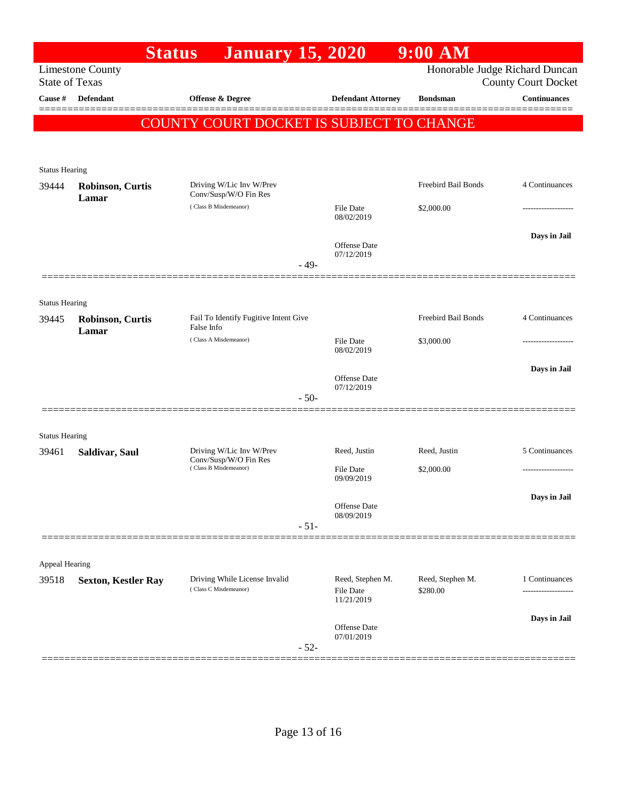|                                | <b>Status</b>                                    | <b>January 15, 2020</b>                                                    |        |                                             | $9:00$ AM                      |                            |
|--------------------------------|--------------------------------------------------|----------------------------------------------------------------------------|--------|---------------------------------------------|--------------------------------|----------------------------|
|                                | <b>Limestone County</b><br><b>State of Texas</b> |                                                                            |        |                                             | Honorable Judge Richard Duncan | <b>County Court Docket</b> |
| Cause #                        | <b>Defendant</b>                                 | Offense & Degree                                                           |        | <b>Defendant Attorney</b>                   | <b>Bondsman</b>                | <b>Continuances</b>        |
|                                |                                                  |                                                                            |        |                                             |                                |                            |
|                                |                                                  | COUNTY COURT DOCKET IS SUBJECT TO CHANGE                                   |        |                                             |                                |                            |
|                                |                                                  |                                                                            |        |                                             |                                |                            |
| <b>Status Hearing</b>          |                                                  |                                                                            |        |                                             |                                |                            |
| 39444                          | <b>Robinson, Curtis</b><br>Lamar                 | Driving W/Lic Inv W/Prev<br>Conv/Susp/W/O Fin Res                          |        |                                             | Freebird Bail Bonds            | 4 Continuances             |
|                                |                                                  | (Class B Misdemeanor)                                                      |        | <b>File Date</b><br>08/02/2019              | \$2,000.00                     | -----------------          |
|                                |                                                  |                                                                            |        |                                             |                                | Days in Jail               |
|                                |                                                  |                                                                            |        | Offense Date<br>07/12/2019                  |                                |                            |
|                                |                                                  |                                                                            | $-49-$ |                                             |                                |                            |
|                                |                                                  |                                                                            |        |                                             |                                |                            |
| <b>Status Hearing</b>          |                                                  |                                                                            |        |                                             |                                |                            |
| 39445                          | Robinson, Curtis<br>Lamar                        | Fail To Identify Fugitive Intent Give<br>False Info                        |        |                                             | Freebird Bail Bonds            | 4 Continuances             |
|                                |                                                  | (Class A Misdemeanor)                                                      |        | File Date<br>08/02/2019                     | \$3,000.00                     | .                          |
|                                |                                                  |                                                                            |        |                                             |                                | Days in Jail               |
|                                |                                                  |                                                                            |        | Offense Date<br>07/12/2019                  |                                |                            |
|                                |                                                  |                                                                            | $-50-$ |                                             |                                |                            |
|                                |                                                  |                                                                            |        |                                             |                                |                            |
| <b>Status Hearing</b><br>39461 | Saldivar, Saul                                   | Driving W/Lic Inv W/Prev<br>Conv/Susp/W/O Fin Res<br>(Class B Misdemeanor) |        | Reed, Justin                                | Reed, Justin                   | 5 Continuances             |
|                                |                                                  |                                                                            |        | File Date                                   | \$2,000.00                     |                            |
|                                |                                                  |                                                                            |        | 09/09/2019                                  |                                |                            |
|                                |                                                  |                                                                            |        | Offense Date                                |                                | Days in Jail               |
|                                |                                                  |                                                                            | $-51-$ | 08/09/2019                                  |                                |                            |
|                                |                                                  |                                                                            |        |                                             |                                |                            |
| Appeal Hearing                 |                                                  |                                                                            |        |                                             |                                |                            |
| 39518                          | <b>Sexton, Kestler Ray</b>                       | Driving While License Invalid<br>(Class C Misdemeanor)                     |        | Reed, Stephen M.<br>File Date<br>11/21/2019 | Reed, Stephen M.               | 1 Continuances             |
|                                |                                                  |                                                                            |        |                                             | \$280.00                       |                            |
|                                |                                                  |                                                                            |        | Offense Date                                |                                | Days in Jail               |
|                                |                                                  |                                                                            |        | 07/01/2019                                  |                                |                            |
|                                |                                                  |                                                                            | $-52-$ |                                             |                                |                            |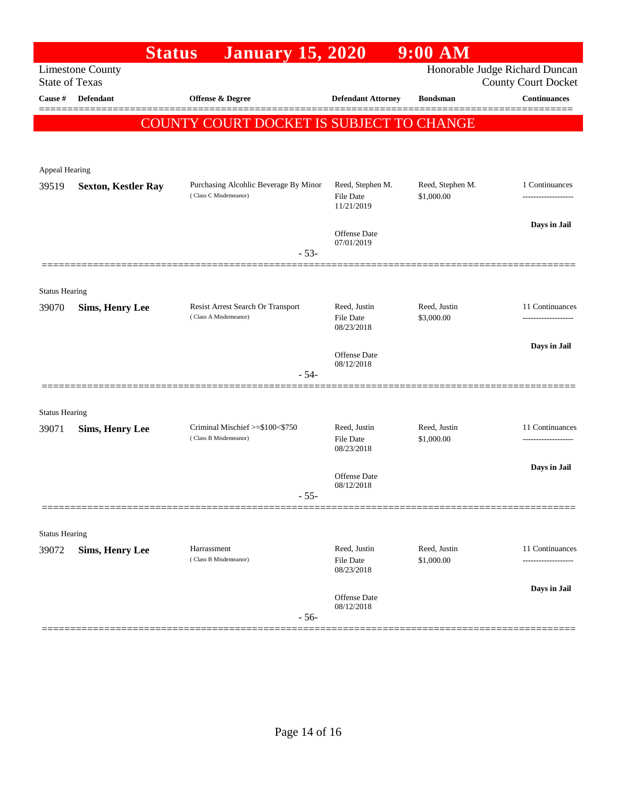| <b>Limestone County</b><br><b>State of Texas</b><br>Cause #<br><b>Defendant</b><br><b>Offense &amp; Degree</b><br><b>Defendant Attorney</b><br>COUNTY COURT DOCKET IS SUBJECT TO CHANGE | <b>Bondsman</b>                | Honorable Judge Richard Duncan<br><b>County Court Docket</b><br><b>Continuances</b> |
|-----------------------------------------------------------------------------------------------------------------------------------------------------------------------------------------|--------------------------------|-------------------------------------------------------------------------------------|
|                                                                                                                                                                                         |                                |                                                                                     |
|                                                                                                                                                                                         |                                |                                                                                     |
|                                                                                                                                                                                         |                                |                                                                                     |
|                                                                                                                                                                                         |                                |                                                                                     |
|                                                                                                                                                                                         |                                |                                                                                     |
| Appeal Hearing                                                                                                                                                                          |                                |                                                                                     |
| Purchasing Alcohlic Beverage By Minor<br>Reed, Stephen M.<br>39519<br><b>Sexton, Kestler Ray</b><br>(Class C Misdemeanor)<br><b>File Date</b><br>11/21/2019                             | Reed, Stephen M.<br>\$1,000.00 | 1 Continuances                                                                      |
|                                                                                                                                                                                         |                                | Days in Jail                                                                        |
| Offense Date<br>07/01/2019                                                                                                                                                              |                                |                                                                                     |
| $-53-$                                                                                                                                                                                  |                                |                                                                                     |
|                                                                                                                                                                                         |                                |                                                                                     |
| <b>Status Hearing</b><br>Resist Arrest Search Or Transport<br>Reed, Justin<br>39070                                                                                                     | Reed, Justin                   | 11 Continuances                                                                     |
| <b>Sims, Henry Lee</b><br>(Class A Misdemeanor)<br><b>File Date</b><br>08/23/2018                                                                                                       | \$3,000.00                     | -----------------                                                                   |
| Offense Date                                                                                                                                                                            |                                | Days in Jail                                                                        |
| 08/12/2018<br>$-54-$                                                                                                                                                                    |                                |                                                                                     |
|                                                                                                                                                                                         |                                |                                                                                     |
| <b>Status Hearing</b>                                                                                                                                                                   |                                |                                                                                     |
| Criminal Mischief >=\$100<\$750<br>Reed, Justin<br>39071<br><b>Sims, Henry Lee</b>                                                                                                      | Reed, Justin                   | 11 Continuances                                                                     |
| (Class B Misdemeanor)<br><b>File Date</b><br>08/23/2018                                                                                                                                 | \$1,000.00                     |                                                                                     |
| Offense Date                                                                                                                                                                            |                                | Days in Jail                                                                        |
| 08/12/2018<br>$-55-$                                                                                                                                                                    |                                |                                                                                     |
|                                                                                                                                                                                         |                                |                                                                                     |
| <b>Status Hearing</b>                                                                                                                                                                   |                                |                                                                                     |
| Reed, Justin<br>Harrassment<br><b>Sims, Henry Lee</b><br>39072                                                                                                                          | Reed, Justin                   | 11 Continuances                                                                     |
| (Class B Misdemeanor)<br>File Date<br>08/23/2018                                                                                                                                        | \$1,000.00                     | .                                                                                   |
|                                                                                                                                                                                         |                                | Days in Jail                                                                        |
| Offense Date<br>08/12/2018<br>$-56-$                                                                                                                                                    |                                |                                                                                     |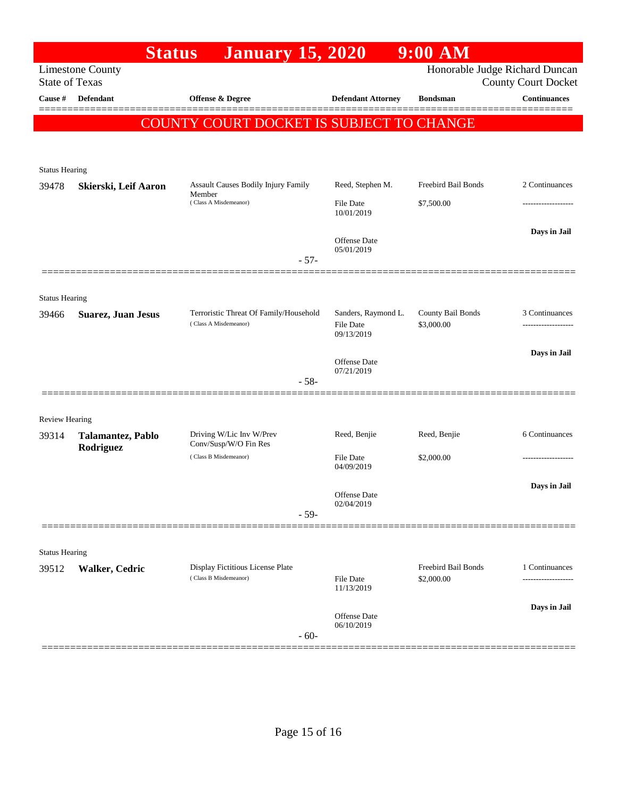| Honorable Judge Richard Duncan<br><b>Limestone County</b><br><b>State of Texas</b><br><b>County Court Docket</b><br>Cause #<br>Defendant<br><b>Offense &amp; Degree</b><br><b>Defendant Attorney</b><br><b>Bondsman</b><br>COUNTY COURT DOCKET IS SUBJECT TO CHANGE<br><b>Status Hearing</b><br>Freebird Bail Bonds<br>Assault Causes Bodily Injury Family<br>Reed, Stephen M.<br>2 Continuances<br>39478<br>Skierski, Leif Aaron<br>Member<br>(Class A Misdemeanor)<br><b>File Date</b><br>\$7,500.00<br>10/01/2019<br>Offense Date<br>05/01/2019<br>$-57-$<br><b>Status Hearing</b><br>Terroristic Threat Of Family/Household<br>Sanders, Raymond L.<br>County Bail Bonds<br><b>Suarez, Juan Jesus</b><br>39466<br>(Class A Misdemeanor)<br>\$3,000.00<br><b>File Date</b><br>09/13/2019<br>Offense Date<br>07/21/2019<br>$-58-$<br>Review Hearing<br>Driving W/Lic Inv W/Prev<br>Reed, Benjie<br>Reed, Benjie<br>39314<br><b>Talamantez, Pablo</b><br>Conv/Susp/W/O Fin Res<br>Rodriguez<br>(Class B Misdemeanor)<br>File Date<br>\$2,000.00<br>04/09/2019<br>Offense Date<br>02/04/2019<br>$-59-$<br><b>Status Hearing</b><br>Freebird Bail Bonds<br>Display Fictitious License Plate<br>39512<br>Walker, Cedric<br>(Class B Misdemeanor)<br>\$2,000.00<br><b>File Date</b><br>11/13/2019<br><b>Offense</b> Date<br>06/10/2019<br>$-60-$ |  | <b>Status</b> | <b>January 15, 2020</b> |  | $9:00$ AM |                                       |  |
|----------------------------------------------------------------------------------------------------------------------------------------------------------------------------------------------------------------------------------------------------------------------------------------------------------------------------------------------------------------------------------------------------------------------------------------------------------------------------------------------------------------------------------------------------------------------------------------------------------------------------------------------------------------------------------------------------------------------------------------------------------------------------------------------------------------------------------------------------------------------------------------------------------------------------------------------------------------------------------------------------------------------------------------------------------------------------------------------------------------------------------------------------------------------------------------------------------------------------------------------------------------------------------------------------------------------------------------------|--|---------------|-------------------------|--|-----------|---------------------------------------|--|
|                                                                                                                                                                                                                                                                                                                                                                                                                                                                                                                                                                                                                                                                                                                                                                                                                                                                                                                                                                                                                                                                                                                                                                                                                                                                                                                                              |  |               |                         |  |           |                                       |  |
|                                                                                                                                                                                                                                                                                                                                                                                                                                                                                                                                                                                                                                                                                                                                                                                                                                                                                                                                                                                                                                                                                                                                                                                                                                                                                                                                              |  |               |                         |  |           | <b>Continuances</b>                   |  |
|                                                                                                                                                                                                                                                                                                                                                                                                                                                                                                                                                                                                                                                                                                                                                                                                                                                                                                                                                                                                                                                                                                                                                                                                                                                                                                                                              |  |               |                         |  |           |                                       |  |
|                                                                                                                                                                                                                                                                                                                                                                                                                                                                                                                                                                                                                                                                                                                                                                                                                                                                                                                                                                                                                                                                                                                                                                                                                                                                                                                                              |  |               |                         |  |           |                                       |  |
|                                                                                                                                                                                                                                                                                                                                                                                                                                                                                                                                                                                                                                                                                                                                                                                                                                                                                                                                                                                                                                                                                                                                                                                                                                                                                                                                              |  |               |                         |  |           |                                       |  |
|                                                                                                                                                                                                                                                                                                                                                                                                                                                                                                                                                                                                                                                                                                                                                                                                                                                                                                                                                                                                                                                                                                                                                                                                                                                                                                                                              |  |               |                         |  |           | Days in Jail                          |  |
|                                                                                                                                                                                                                                                                                                                                                                                                                                                                                                                                                                                                                                                                                                                                                                                                                                                                                                                                                                                                                                                                                                                                                                                                                                                                                                                                              |  |               |                         |  |           |                                       |  |
|                                                                                                                                                                                                                                                                                                                                                                                                                                                                                                                                                                                                                                                                                                                                                                                                                                                                                                                                                                                                                                                                                                                                                                                                                                                                                                                                              |  |               |                         |  |           | 3 Continuances                        |  |
|                                                                                                                                                                                                                                                                                                                                                                                                                                                                                                                                                                                                                                                                                                                                                                                                                                                                                                                                                                                                                                                                                                                                                                                                                                                                                                                                              |  |               |                         |  |           | Days in Jail                          |  |
|                                                                                                                                                                                                                                                                                                                                                                                                                                                                                                                                                                                                                                                                                                                                                                                                                                                                                                                                                                                                                                                                                                                                                                                                                                                                                                                                              |  |               |                         |  |           |                                       |  |
|                                                                                                                                                                                                                                                                                                                                                                                                                                                                                                                                                                                                                                                                                                                                                                                                                                                                                                                                                                                                                                                                                                                                                                                                                                                                                                                                              |  |               |                         |  |           | 6 Continuances                        |  |
|                                                                                                                                                                                                                                                                                                                                                                                                                                                                                                                                                                                                                                                                                                                                                                                                                                                                                                                                                                                                                                                                                                                                                                                                                                                                                                                                              |  |               |                         |  |           |                                       |  |
|                                                                                                                                                                                                                                                                                                                                                                                                                                                                                                                                                                                                                                                                                                                                                                                                                                                                                                                                                                                                                                                                                                                                                                                                                                                                                                                                              |  |               |                         |  |           | Days in Jail                          |  |
|                                                                                                                                                                                                                                                                                                                                                                                                                                                                                                                                                                                                                                                                                                                                                                                                                                                                                                                                                                                                                                                                                                                                                                                                                                                                                                                                              |  |               |                         |  |           |                                       |  |
|                                                                                                                                                                                                                                                                                                                                                                                                                                                                                                                                                                                                                                                                                                                                                                                                                                                                                                                                                                                                                                                                                                                                                                                                                                                                                                                                              |  |               |                         |  |           | 1 Continuances<br>------------------- |  |
|                                                                                                                                                                                                                                                                                                                                                                                                                                                                                                                                                                                                                                                                                                                                                                                                                                                                                                                                                                                                                                                                                                                                                                                                                                                                                                                                              |  |               |                         |  |           | Days in Jail                          |  |